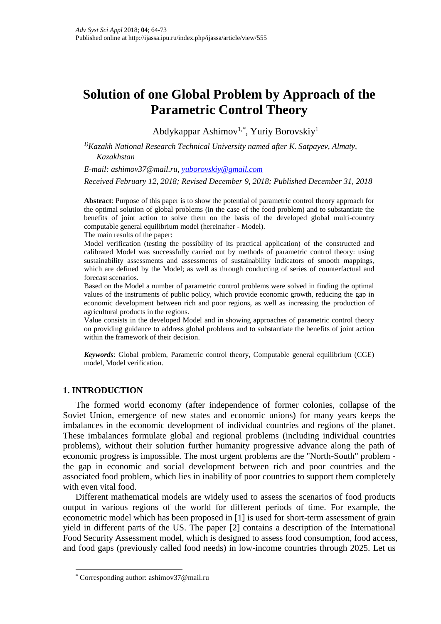# **Solution of one Global Problem by Approach of the Parametric Control Theory**

Abdykappar Ashimov1,\* , Yuriy Borovskiy<sup>1</sup>

*1)Kazakh National Research Technical University named after K. Satpayev, Almaty, Kazakhstan*

*E-mail: [ashimov37@mail.ru,](mailto:ashimov37@mail.ru) [yuborovskiy@gmail.com](mailto:yuborovskiy@gmail.com)*

*Received February 12, 2018; Revised December 9, 2018; Published December 31, 2018*

**Abstract**: Purpose of this paper is to show the potential of parametric control theory approach for the optimal solution of global problems (in the case of the food problem) and to substantiate the benefits of joint action to solve them on the basis of the developed global multi-country computable general equilibrium model (hereinafter - Model).

The main results of the paper:

Model verification (testing the possibility of its practical application) of the constructed and calibrated Model was successfully carried out by methods of parametric control theory: using sustainability assessments and assessments of sustainability indicators of smooth mappings, which are defined by the Model; as well as through conducting of series of counterfactual and forecast scenarios.

Based on the Model a number of parametric control problems were solved in finding the optimal values of the instruments of public policy, which provide economic growth, reducing the gap in economic development between rich and poor regions, as well as increasing the production of agricultural products in the regions.

Value consists in the developed Model and in showing approaches of parametric control theory on providing guidance to address global problems and to substantiate the benefits of joint action within the framework of their decision.

*Keywords*: Global problem, Parametric control theory, Computable general equilibrium (CGE) model, Model verification.

# **1. INTRODUCTION**

 $\overline{a}$ 

The formed world economy (after independence of former colonies, collapse of the Soviet Union, emergence of new states and economic unions) for many years keeps the imbalances in the economic development of individual countries and regions of the planet. These imbalances formulate global and regional problems (including individual countries problems), without their solution further humanity progressive advance along the path of economic progress is impossible. The most urgent problems are the "North-South" problem the gap in economic and social development between rich and poor countries and the associated food problem, which lies in inability of poor countries to support them completely with even vital food.

Different mathematical models are widely used to assess the scenarios of food products output in various regions of the world for different periods of time. For example, the econometric model which has been proposed in [1] is used for short-term assessment of grain yield in different parts of the US. The paper [2] contains a description of the International Food Security Assessment model, which is designed to assess food consumption, food access, and food gaps (previously called food needs) in low-income countries through 2025. Let us

<sup>\*</sup> Corresponding author: ashimov37@mail.ru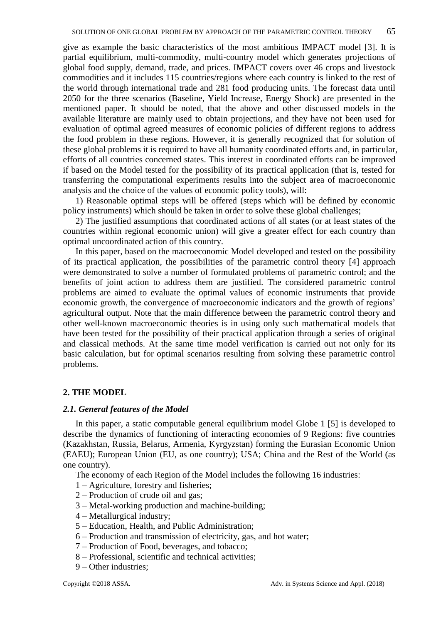give as example the basic characteristics of the most ambitious IMPACT model [3]. It is partial equilibrium, multi-commodity, multi-country model which generates projections of global food supply, demand, trade, and prices. IMPACT covers over 46 crops and livestock commodities and it includes 115 countries/regions where each country is linked to the rest of the world through international trade and 281 food producing units. The forecast data until 2050 for the three scenarios (Baseline, Yield Increase, Energy Shock) are presented in the mentioned paper. It should be noted, that the above and other discussed models in the available literature are mainly used to obtain projections, and they have not been used for evaluation of optimal agreed measures of economic policies of different regions to address the food problem in these regions. However, it is generally recognized that for solution of these global problems it is required to have all humanity coordinated efforts and, in particular, efforts of all countries concerned states. This interest in coordinated efforts can be improved if based on the Model tested for the possibility of its practical application (that is, tested for transferring the computational experiments results into the subject area of macroeconomic analysis and the choice of the values of economic policy tools), will:

1) Reasonable optimal steps will be offered (steps which will be defined by economic policy instruments) which should be taken in order to solve these global challenges;

2) The justified assumptions that coordinated actions of all states (or at least states of the countries within regional economic union) will give a greater effect for each country than optimal uncoordinated action of this country.

In this paper, based on the macroeconomic Model developed and tested on the possibility of its practical application, the possibilities of the parametric control theory [4] approach were demonstrated to solve a number of formulated problems of parametric control; and the benefits of joint action to address them are justified. The considered parametric control problems are aimed to evaluate the optimal values of economic instruments that provide economic growth, the convergence of macroeconomic indicators and the growth of regions' agricultural output. Note that the main difference between the parametric control theory and other well-known macroeconomic theories is in using only such mathematical models that have been tested for the possibility of their practical application through a series of original and classical methods. At the same time model verification is carried out not only for its basic calculation, but for optimal scenarios resulting from solving these parametric control problems.

# **2. THE MODEL**

#### *2.1. General features of the Model*

In this paper, a static computable general equilibrium model Globe 1 [5] is developed to describe the dynamics of functioning of interacting economies of 9 Regions: five countries (Kazakhstan, Russia, Belarus, Armenia, Kyrgyzstan) forming the Eurasian Economic Union (EAEU); European Union (EU, as one country); USA; China and the Rest of the World (as one country).

The economy of each Region of the Model includes the following 16 industries:

- 1 Agriculture, forestry and fisheries;
- 2 Production of crude oil and gas;
- 3 Metal-working production and machine-building;
- 4 Metallurgical industry;
- 5 Education, Health, and Public Administration;
- 6 Production and transmission of electricity, gas, and hot water;
- 7 Production of Food, beverages, and tobacco;
- 8 Professional, scientific and technical activities;
- 9 Other industries;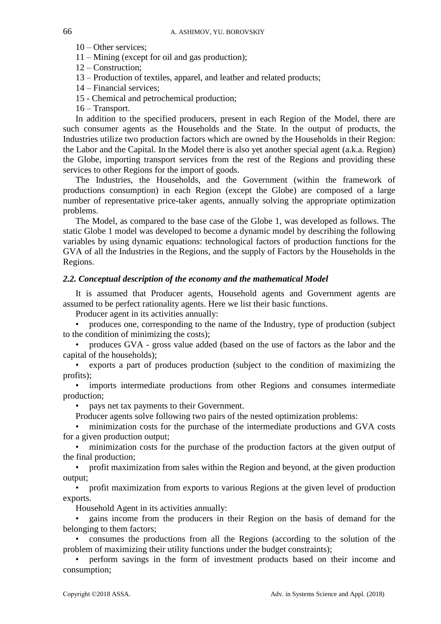- 10 Other services;
- 11 Mining (except for oil and gas production);
- 12 Construction;
- 13 Production of textiles, apparel, and leather and related products;
- 14 Financial services;
- 15 Chemical and petrochemical production;
- 16 Transport.

In addition to the specified producers, present in each Region of the Model, there are such consumer agents as the Households and the State. In the output of products, the Industries utilize two production factors which are owned by the Households in their Region: the Labor and the Capital. In the Model there is also yet another special agent (a.k.a. Region) the Globe, importing transport services from the rest of the Regions and providing these services to other Regions for the import of goods.

The Industries, the Households, and the Government (within the framework of productions consumption) in each Region (except the Globe) are composed of a large number of representative price-taker agents, annually solving the appropriate optimization problems.

The Model, as compared to the base case of the Globe 1, was developed as follows. The static Globe 1 model was developed to become a dynamic model by describing the following variables by using dynamic equations: technological factors of production functions for the GVA of all the Industries in the Regions, and the supply of Factors by the Households in the Regions.

#### *2.2. Conceptual description of the economy and the mathematical Model*

It is assumed that Producer agents, Household agents and Government agents are assumed to be perfect rationality agents. Here we list their basic functions.

Producer agent in its activities annually:

• produces one, corresponding to the name of the Industry, type of production (subject to the condition of minimizing the costs);

• produces GVA - gross value added (based on the use of factors as the labor and the capital of the households);

• exports a part of produces production (subject to the condition of maximizing the profits);

• imports intermediate productions from other Regions and consumes intermediate production;

pays net tax payments to their Government.

Producer agents solve following two pairs of the nested optimization problems:

• minimization costs for the purchase of the intermediate productions and GVA costs for a given production output;

• minimization costs for the purchase of the production factors at the given output of the final production;

• profit maximization from sales within the Region and beyond, at the given production output;

• profit maximization from exports to various Regions at the given level of production exports.

Household Agent in its activities annually:

• gains income from the producers in their Region on the basis of demand for the belonging to them factors;

• consumes the productions from all the Regions (according to the solution of the problem of maximizing their utility functions under the budget constraints);

• perform savings in the form of investment products based on their income and consumption;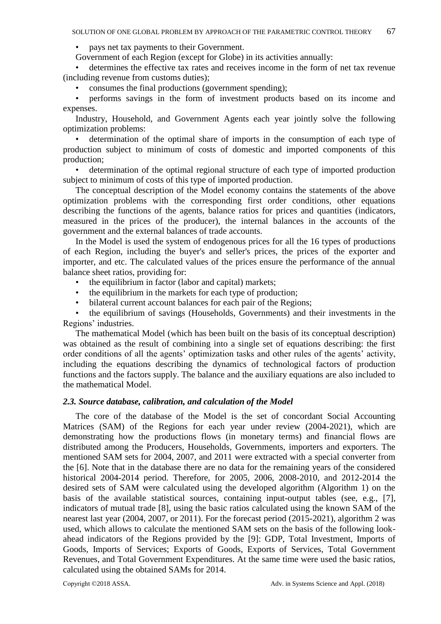• pays net tax payments to their Government.

Government of each Region (except for Globe) in its activities annually:

• determines the effective tax rates and receives income in the form of net tax revenue (including revenue from customs duties);

• consumes the final productions (government spending);

• performs savings in the form of investment products based on its income and expenses.

Industry, Household, and Government Agents each year jointly solve the following optimization problems:

• determination of the optimal share of imports in the consumption of each type of production subject to minimum of costs of domestic and imported components of this production;

• determination of the optimal regional structure of each type of imported production subject to minimum of costs of this type of imported production.

The conceptual description of the Model economy contains the statements of the above optimization problems with the corresponding first order conditions, other equations describing the functions of the agents, balance ratios for prices and quantities (indicators, measured in the prices of the producer), the internal balances in the accounts of the government and the external balances of trade accounts.

In the Model is used the system of endogenous prices for all the 16 types of productions of each Region, including the buyer's and seller's prices, the prices of the exporter and importer, and etc. The calculated values of the prices ensure the performance of the annual balance sheet ratios, providing for:

- the equilibrium in factor (labor and capital) markets;
- the equilibrium in the markets for each type of production;
- bilateral current account balances for each pair of the Regions;

• the equilibrium of savings (Households, Governments) and their investments in the Regions' industries.

The mathematical Model (which has been built on the basis of its conceptual description) was obtained as the result of combining into a single set of equations describing: the first order conditions of all the agents' optimization tasks and other rules of the agents' activity, including the equations describing the dynamics of technological factors of production functions and the factors supply. The balance and the auxiliary equations are also included to the mathematical Model.

#### *2.3. Source database, calibration, and calculation of the Model*

The core of the database of the Model is the set of concordant Social Accounting Matrices (SAM) of the Regions for each year under review (2004-2021), which are demonstrating how the productions flows (in monetary terms) and financial flows are distributed among the Producers, Households, Governments, importers and exporters. The mentioned SAM sets for 2004, 2007, and 2011 were extracted with a special converter from the [6]. Note that in the database there are no data for the remaining years of the considered historical 2004-2014 period. Therefore, for 2005, 2006, 2008-2010, and 2012-2014 the desired sets of SAM were calculated using the developed algorithm (Algorithm 1) on the basis of the available statistical sources, containing input-output tables (see, e.g., [7], indicators of mutual trade [8], using the basic ratios calculated using the known SAM of the nearest last year (2004, 2007, or 2011). For the forecast period (2015-2021), algorithm 2 was used, which allows to calculate the mentioned SAM sets on the basis of the following lookahead indicators of the Regions provided by the [9]: GDP, Total Investment, Imports of Goods, Imports of Services; Exports of Goods, Exports of Services, Total Government Revenues, and Total Government Expenditures. At the same time were used the basic ratios, calculated using the obtained SAMs for 2014.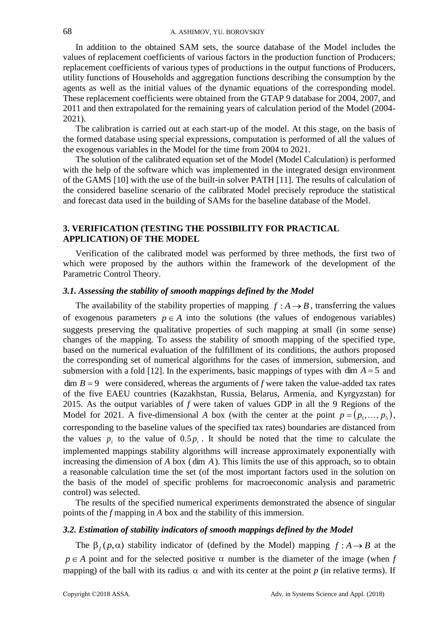In addition to the obtained SAM sets, the source database of the Model includes the values of replacement coefficients of various factors in the production function of Producers; replacement coefficients of various types of productions in the output functions of Producers, utility functions of Households and aggregation functions describing the consumption by the agents as well as the initial values of the dynamic equations of the corresponding model. These replacement coefficients were obtained from the GTAP 9 database for 2004, 2007, and 2011 and then extrapolated for the remaining years of calculation period of the Model (2004- 2021).

The calibration is carried out at each start-up of the model. At this stage, on the basis of the formed database using special expressions, computation is performed of all the values of the exogenous variables in the Model for the time from 2004 to 2021.

The solution of the calibrated equation set of the Model (Model Calculation) is performed with the help of the software which was implemented in the integrated design environment of the GAMS [10] with the use of the built-in solver PATH [11]. The results of calculation of the considered baseline scenario of the calibrated Model precisely reproduce the statistical and forecast data used in the building of SAMs for the baseline database of the Model.

## **3. VERIFICATION (TESTING THE POSSIBILITY FOR PRACTICAL APPLICATION) OF THE MODEL**

Verification of the calibrated model was performed by three methods, the first two of which were proposed by the authors within the framework of the development of the Parametric Control Theory.

#### *3.1. Assessing the stability of smooth mappings defined by the Model*

The availability of the stability properties of mapping  $f : A \rightarrow B$ , transferring the values of exogenous parameters  $p \in A$  into the solutions (the values of endogenous variables) suggests preserving the qualitative properties of such mapping at small (in some sense) changes of the mapping. To assess the stability of smooth mapping of the specified type, based on the numerical evaluation of the fulfillment of its conditions, the authors proposed the corresponding set of numerical algorithms for the cases of immersion, submersion, and submersion with a fold [12]. In the experiments, basic mappings of types with dim  $A = 5$  and  $\dim B = 9$  were considered, whereas the arguments of *f* were taken the value-added tax rates of the five EAEU countries (Kazakhstan, Russia, Belarus, Armenia, and Kyrgyzstan) for 2015. As the output variables of *f* were taken of values GDP in all the 9 Regions of the Model for 2021. A five-dimensional A box (with the center at the point  $p = (p_1, \ldots, p_5)$ , corresponding to the baseline values of the specified tax rates) boundaries are distanced from the values  $p_i$  to the value of  $0.5 p_i$ . It should be noted that the time to calculate the implemented mappings stability algorithms will increase approximately exponentially with increasing the dimension of *A* box ( dim *A* ). This limits the use of this approach, so to obtain a reasonable calculation time the set (of the most important factors used in the solution on the basis of the model of specific problems for macroeconomic analysis and parametric control) was selected.

The results of the specified numerical experiments demonstrated the absence of singular points of the *f* mapping in *A* box and the stability of this immersion.

## *3.2. Estimation of stability indicators of smooth mappings defined by the Model*

The  $\beta_f(p, \alpha)$  stability indicator of (defined by the Model) mapping  $f : A \rightarrow B$  at the  $p \in A$  point and for the selected positive  $\alpha$  number is the diameter of the image (when *f* mapping) of the ball with its radius  $\alpha$  and with its center at the point p (in relative terms). If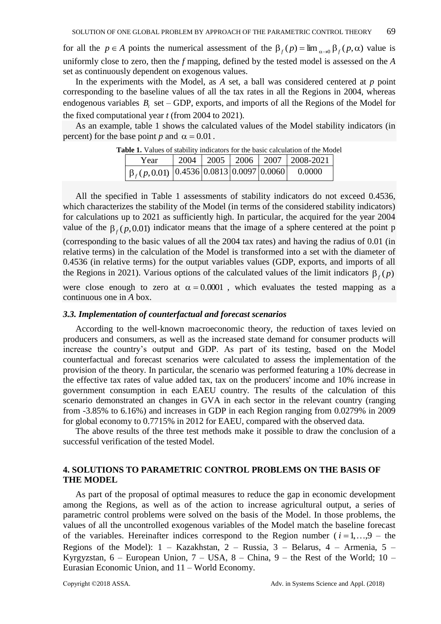for all the  $p \in A$  points the numerical assessment of the  $\beta_f(p) = \lim_{\alpha \to 0} \beta_f(p, \alpha)$  value is uniformly close to zero, then the *f* mapping, defined by the tested model is assessed on the *A* set as continuously dependent on exogenous values.

In the experiments with the Model, as *A* set, a ball was considered centered at *p* point corresponding to the baseline values of all the tax rates in all the Regions in 2004, whereas endogenous variables  $B_t$ , set – GDP, exports, and imports of all the Regions of the Model for the fixed computational year *t* (from 2004 to 2021).

As an example, table 1 shows the calculated values of the Model stability indicators (in percent) for the base point *p* and  $\alpha = 0.01$ .

| abie 1. Values of stability indicators for the basic calculation of the Mode |  |  |  |  |                                       |  |  |  |  |
|------------------------------------------------------------------------------|--|--|--|--|---------------------------------------|--|--|--|--|
| Year                                                                         |  |  |  |  | 2004   2005   2006   2007   2008-2021 |  |  |  |  |
| $\left[\beta_f(p,0.01) \right]$ [0.4536] 0.0813 [0.0097] 0.0060              |  |  |  |  | - 0.0000                              |  |  |  |  |

**Table 1.** Values of stability indicators for the basic calculation of the Model

All the specified in Table 1 assessments of stability indicators do not exceed 0.4536, which characterizes the stability of the Model (in terms of the considered stability indicators) for calculations up to 2021 as sufficiently high. In particular, the acquired for the year 2004 value of the  $\beta_f(p,0.01)$  indicator means that the image of a sphere centered at the point p

(corresponding to the basic values of all the 2004 tax rates) and having the radius of 0.01 (in relative terms) in the calculation of the Model is transformed into a set with the diameter of 0.4536 (in relative terms) for the output variables values (GDP, exports, and imports of all the Regions in 2021). Various options of the calculated values of the limit indicators  $\beta_f(p)$ 

were close enough to zero at  $\alpha = 0.0001$ , which evaluates the tested mapping as a continuous one in *A* box.

#### *3.3. Implementation of counterfactual and forecast scenarios*

According to the well-known macroeconomic theory, the reduction of taxes levied on producers and consumers, as well as the increased state demand for consumer products will increase the country's output and GDP. As part of its testing, based on the Model counterfactual and forecast scenarios were calculated to assess the implementation of the provision of the theory. In particular, the scenario was performed featuring a 10% decrease in the effective tax rates of value added tax, tax on the producers' income and 10% increase in government consumption in each EAEU country. The results of the calculation of this scenario demonstrated an changes in GVA in each sector in the relevant country (ranging from -3.85% to 6.16%) and increases in GDP in each Region ranging from 0.0279% in 2009 for global economy to 0.7715% in 2012 for EAEU, compared with the observed data.

The above results of the three test methods make it possible to draw the conclusion of a successful verification of the tested Model.

## **4. SOLUTIONS TO PARAMETRIC CONTROL PROBLEMS ON THE BASIS OF THE MODEL**

As part of the proposal of optimal measures to reduce the gap in economic development among the Regions, as well as of the action to increase agricultural output, a series of parametric control problems were solved on the basis of the Model. In those problems, the values of all the uncontrolled exogenous variables of the Model match the baseline forecast of the variables. Hereinafter indices correspond to the Region number  $(i = 1, \ldots, 9 -$  the Regions of the Model):  $1 -$  Kazakhstan,  $2 -$  Russia,  $3 -$  Belarus,  $4 -$  Armenia,  $5 -$ Kyrgyzstan,  $6$  – European Union,  $7$  – USA,  $8$  – China,  $9$  – the Rest of the World;  $10$  – Eurasian Economic Union, and 11 – World Economy.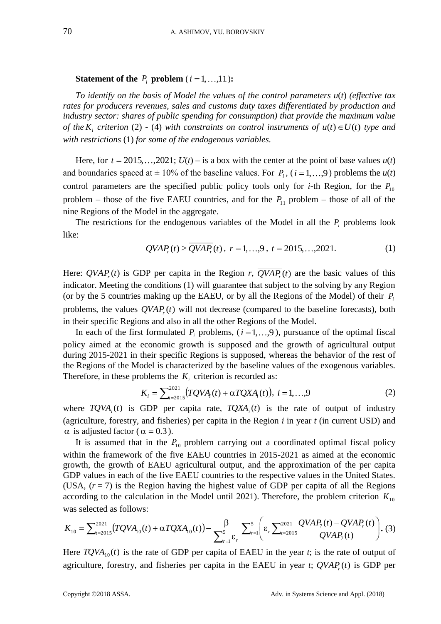#### **Statement of the**  $P_i$  **problem**  $(i = 1, ..., 11)$ **:**

*To identify on the basis of Model the values of the control parameters u*(*t*) *(effective tax rates for producers revenues, sales and customs duty taxes differentiated by production and industry sector: shares of public spending for consumption) that provide the maximum value of the*  $K_i$  *criterion* (2) - (4) *with constraints on control instruments of*  $u(t) \in U(t)$  *type and with restrictions* (1) *for some of the endogenous variables.*

Here, for  $t = 2015,...,2021$ ;  $U(t)$  – is a box with the center at the point of base values  $u(t)$ and boundaries spaced at  $\pm 10\%$  of the baseline values. For  $P_i$ ,  $(i = 1,...,9)$  problems the  $u(t)$ control parameters are the specified public policy tools only for *i*-th Region, for the  $P_{10}$ problem – those of the five EAEU countries, and for the  $P_{11}$  problem – those of all of the nine Regions of the Model in the aggregate.

The restrictions for the endogenous variables of the Model in all the  $P_i$  problems look like:

$$
QVAPr(t) \ge \overline{QVAPr}(t), r = 1,...,9, t = 2015,...,2021.
$$
 (1)

Here:  $QVAP_r(t)$  is GDP per capita in the Region *r*,  $QVAP_r(t)$  are the basic values of this indicator. Meeting the conditions (1) will guarantee that subject to the solving by any Region (or by the 5 countries making up the EAEU, or by all the Regions of the Model) of their  $P_i$ problems, the values  $QVAP_r(t)$  will not decrease (compared to the baseline forecasts), both in their specific Regions and also in all the other Regions of the Model.

In each of the first formulated  $P_i$  problems,  $(i=1,...,9)$ , pursuance of the optimal fiscal policy aimed at the economic growth is supposed and the growth of agricultural output during 2015-2021 in their specific Regions is supposed, whereas the behavior of the rest of the Regions of the Model is characterized by the baseline values of the exogenous variables. Therefore, in these problems the  $K_i$  criterion is recorded as:

$$
K_i = \sum_{t=2015}^{2021} (TQVA_i(t) + \alpha TQXA_i(t)), \ i = 1, ..., 9
$$
 (2)

where  $TQVA_i(t)$  is GDP per capita rate,  $TQXA_i(t)$  is the rate of output of industry (agriculture, forestry, and fisheries) per capita in the Region *i* in year *t* (in current USD) and  $\alpha$  is adjusted factor ( $\alpha = 0.3$ ).

It is assumed that in the  $P_{10}$  problem carrying out a coordinated optimal fiscal policy within the framework of the five EAEU countries in 2015-2021 as aimed at the economic growth, the growth of EAEU agricultural output, and the approximation of the per capita GDP values in each of the five EAEU countries to the respective values in the United States. (USA,  $(r = 7)$ ) is the Region having the highest value of GDP per capita of all the Regions according to the calculation in the Model until 2021). Therefore, the problem criterion  $K_{10}$ was selected as follows:

$$
K_{10} = \sum_{t=2015}^{2021} (TQVA_{10}(t) + \alpha TQXA_{10}(t)) - \frac{\beta}{\sum_{r=1}^{5} \varepsilon_r} \sum_{r=1}^{5} \left( \varepsilon_r \sum_{t=2015}^{2021} \frac{QVAP_7(t) - QVAP_r(t)}{QVAP_7(t)} \right). (3)
$$

Here  $TQVA_{10}(t)$  is the rate of GDP per capita of EAEU in the year *t*; is the rate of output of agriculture, forestry, and fisheries per capita in the EAEU in year *t*;  $QVAP_r(t)$  is GDP per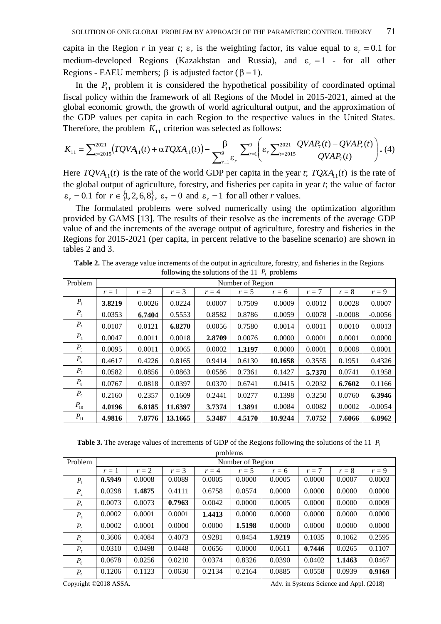capita in the Region *r* in year *t*;  $\varepsilon_r$  is the weighting factor, its value equal to  $\varepsilon_r = 0.1$  for medium-developed Regions (Kazakhstan and Russia), and  $\varepsilon_r = 1$  - for all other Regions - EAEU members;  $\beta$  is adjusted factor ( $\beta = 1$ ).

In the  $P_{11}$  problem it is considered the hypothetical possibility of coordinated optimal fiscal policy within the framework of all Regions of the Model in 2015-2021, aimed at the global economic growth, the growth of world agricultural output, and the approximation of the GDP values per capita in each Region to the respective values in the United States. Therefore, the problem  $K_{11}$  criterion was selected as follows:

$$
K_{11} = \sum_{t=2015}^{2021} (TQVA_{11}(t) + \alpha TQXA_{11}(t)) - \frac{\beta}{\sum_{r=1}^{9} \epsilon_r} \sum_{r=1}^{9} \left( \epsilon_r \sum_{t=2015}^{2021} \frac{QVAP_7(t) - QVAP_r(t)}{QVAP_7(t)} \right). (4)
$$

Here  $TQVA_{11}(t)$  is the rate of the world GDP per capita in the year *t*;  $TQXA_{11}(t)$  is the rate of the global output of agriculture, forestry, and fisheries per capita in year *t*; the value of factor  $\varepsilon_r = 0.1$  for  $r \in \{1, 2, 6, 8\}$ ,  $\varepsilon_7 = 0$  and  $\varepsilon_r = 1$  for all other *r* values.

The formulated problems were solved numerically using the optimization algorithm provided by GAMS [13]. The results of their resolve as the increments of the average GDP value of and the increments of the average output of agriculture, forestry and fisheries in the Regions for 2015-2021 (per capita, in percent relative to the baseline scenario) are shown in tables 2 and 3.

| Problem  | Number of Region |        |         |         |         |         |        |           |           |
|----------|------------------|--------|---------|---------|---------|---------|--------|-----------|-----------|
|          | $r=1$            | $r=2$  | $r = 3$ | $r = 4$ | $r = 5$ | $r = 6$ | $r=7$  | $r=8$     | $r=9$     |
| $P_{1}$  | 3.8219           | 0.0026 | 0.0224  | 0.0007  | 0.7509  | 0.0009  | 0.0012 | 0.0028    | 0.0007    |
| $P_{2}$  | 0.0353           | 6.7404 | 0.5553  | 0.8582  | 0.8786  | 0.0059  | 0.0078 | $-0.0008$ | $-0.0056$ |
| $P_{3}$  | 0.0107           | 0.0121 | 6.8270  | 0.0056  | 0.7580  | 0.0014  | 0.0011 | 0.0010    | 0.0013    |
| $P_{4}$  | 0.0047           | 0.0011 | 0.0018  | 2.8709  | 0.0076  | 0.0000  | 0.0001 | 0.0001    | 0.0000    |
| $P_5$    | 0.0095           | 0.0011 | 0.0065  | 0.0002  | 1.3197  | 0.0000  | 0.0001 | 0.0008    | 0.0001    |
| $P_6$    | 0.4617           | 0.4226 | 0.8165  | 0.9414  | 0.6130  | 10.1658 | 0.3555 | 0.1951    | 0.4326    |
| $P_7$    | 0.0582           | 0.0856 | 0.0863  | 0.0586  | 0.7361  | 0.1427  | 5.7370 | 0.0741    | 0.1958    |
| $P_{8}$  | 0.0767           | 0.0818 | 0.0397  | 0.0370  | 0.6741  | 0.0415  | 0.2032 | 6.7602    | 0.1166    |
| $P_{9}$  | 0.2160           | 0.2357 | 0.1609  | 0.2441  | 0.0277  | 0.1398  | 0.3250 | 0.0760    | 6.3946    |
| $P_{10}$ | 4.0196           | 6.8185 | 11.6397 | 3.7374  | 1.3891  | 0.0084  | 0.0082 | 0.0002    | $-0.0054$ |
| $P_{11}$ | 4.9816           | 7.8776 | 13.1665 | 5.3487  | 4.5170  | 10.9244 | 7.0752 | 7.6066    | 6.8962    |

**Table 2.** The average value increments of the output in agriculture, forestry, and fisheries in the Regions following the solutions of the 11  $P_i$  problems

**Table 3.** The average values of increments of GDP of the Regions following the solutions of the 11  $P_i$ 

| problems       |                  |        |         |         |        |         |        |        |         |
|----------------|------------------|--------|---------|---------|--------|---------|--------|--------|---------|
| Problem        | Number of Region |        |         |         |        |         |        |        |         |
|                | $r=1$            | $r=2$  | $r = 3$ | $r = 4$ | $r=5$  | $r = 6$ | $r=7$  | $r=8$  | $r = 9$ |
| $P_1$          | 0.5949           | 0.0008 | 0.0089  | 0.0005  | 0.0000 | 0.0005  | 0.0000 | 0.0007 | 0.0003  |
| P <sub>2</sub> | 0.0298           | 1.4875 | 0.4111  | 0.6758  | 0.0574 | 0.0000  | 0.0000 | 0.0000 | 0.0000  |
| $P_3$          | 0.0073           | 0.0073 | 0.7963  | 0.0042  | 0.0000 | 0.0005  | 0.0000 | 0.0000 | 0.0009  |
| $P_4$          | 0.0002           | 0.0001 | 0.0001  | 1.4413  | 0.0000 | 0.0000  | 0.0000 | 0.0000 | 0.0000  |
| $P_5$          | 0.0002           | 0.0001 | 0.0000  | 0.0000  | 1.5198 | 0.0000  | 0.0000 | 0.0000 | 0.0000  |
| $P_6$          | 0.3606           | 0.4084 | 0.4073  | 0.9281  | 0.8454 | 1.9219  | 0.1035 | 0.1062 | 0.2595  |
| $P_7$          | 0.0310           | 0.0498 | 0.0448  | 0.0656  | 0.0000 | 0.0611  | 0.7446 | 0.0265 | 0.1107  |
| $P_8$          | 0.0678           | 0.0256 | 0.0210  | 0.0374  | 0.8326 | 0.0390  | 0.0402 | 1.1463 | 0.0467  |
| P <sub>9</sub> | 0.1206           | 0.1123 | 0.0630  | 0.2134  | 0.2164 | 0.0885  | 0.0558 | 0.0939 | 0.9169  |
|                |                  |        |         |         |        |         |        |        |         |

Copyright ©2018 ASSA. Adv. in Systems Science and Appl. (2018)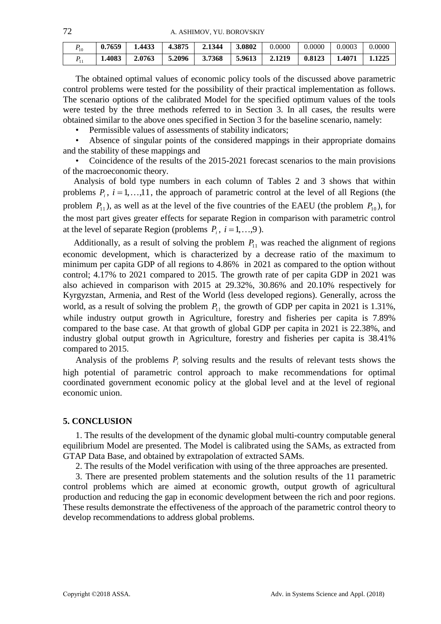72 A. ASHIMOV, YU. BOROVSKIY

| $P_{10}$ | 0.7659 | 1.4433 | 4.3875 | 2.1344 | 3.0802 | 0.0000 | 0.0000 | 0.0003 | 0.0000 |
|----------|--------|--------|--------|--------|--------|--------|--------|--------|--------|
|          | 1.4083 | 2.0763 | 5.2096 | 3.7368 | 5.9613 | 2.1219 | 0.8123 | 1.4071 | 1.1225 |

The obtained optimal values of economic policy tools of the discussed above parametric control problems were tested for the possibility of their practical implementation as follows. The scenario options of the calibrated Model for the specified optimum values of the tools were tested by the three methods referred to in Section 3. In all cases, the results were obtained similar to the above ones specified in Section 3 for the baseline scenario, namely:

Permissible values of assessments of stability indicators;

Absence of singular points of the considered mappings in their appropriate domains and the stability of these mappings and

• Coincidence of the results of the 2015-2021 forecast scenarios to the main provisions of the macroeconomic theory.

Analysis of bold type numbers in each column of Tables 2 and 3 shows that within problems  $P_i$ ,  $i = 1,...,11$ , the approach of parametric control at the level of all Regions (the problem  $P_{11}$ ), as well as at the level of the five countries of the EAEU (the problem  $P_{10}$ ), for the most part gives greater effects for separate Region in comparison with parametric control at the level of separate Region (problems  $P_i$ ,  $i = 1,...,9$ ).

Additionally, as a result of solving the problem  $P_{11}$  was reached the alignment of regions economic development, which is characterized by a decrease ratio of the maximum to minimum per capita GDP of all regions to 4.86% in 2021 as compared to the option without control; 4.17% to 2021 compared to 2015. The growth rate of per capita GDP in 2021 was also achieved in comparison with 2015 at 29.32%, 30.86% and 20.10% respectively for Kyrgyzstan, Armenia, and Rest of the World (less developed regions). Generally, across the world, as a result of solving the problem  $P_{11}$  the growth of GDP per capita in 2021 is 1.31%, while industry output growth in Agriculture, forestry and fisheries per capita is 7.89% compared to the base case. At that growth of global GDP per capita in 2021 is 22.38%, and industry global output growth in Agriculture, forestry and fisheries per capita is 38.41% compared to 2015.

Analysis of the problems  $P_i$  solving results and the results of relevant tests shows the high potential of parametric control approach to make recommendations for optimal coordinated government economic policy at the global level and at the level of regional economic union.

#### **5. CONCLUSION**

1. The results of the development of the dynamic global multi-country computable general equilibrium Model are presented. The Model is calibrated using the SAMs, as extracted from GTAP Data Base, and obtained by extrapolation of extracted SAMs.

2. The results of the Model verification with using of the three approaches are presented.

3. There are presented problem statements and the solution results of the 11 parametric control problems which are aimed at economic growth, output growth of agricultural production and reducing the gap in economic development between the rich and poor regions. These results demonstrate the effectiveness of the approach of the parametric control theory to develop recommendations to address global problems.